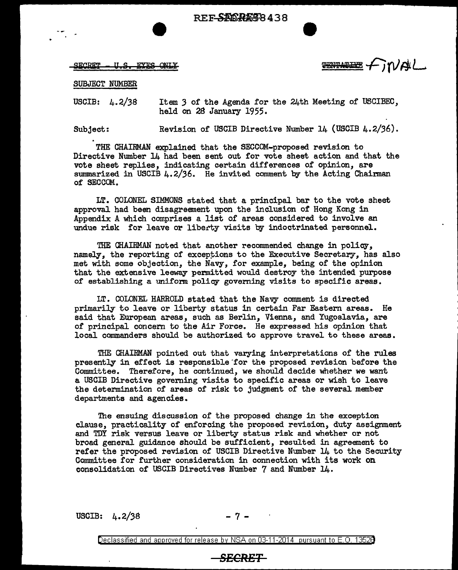REF-SIM RAS8438

SECRET - U.S. EYES ONLY

**ENTATHE FIVAL** 

SUBJECT NUMBER

USCIB: 4.2/38 Item *3* of the Agenda for the 24th Meeting of USCIBEC, held on 2B January 1955.

Subject: Revision of USCIB Directive Number 14 {USCIB 4.2/36).

THE CHAIRMAN explained that the SECCOM-proposed revision to Directive Number 14 had been sent out for vote sheet action and that the vote sheet replies, indicating certain differences of opinion, are summarized in USCIB 4.2/36. He invited comment by the Acting Chairman of SECCOM.

LT. COLONEL SIMMONS stated that a principal bar to the vote sheet approval had been disagreement upon the inclusion of Hong Kong in Appendix A which comprises a list of areas considered to involve an undue risk for leave or liberty visits by indoctrinated personnel.

THE CHAIRMAN noted that another reconnnended change in policy, namely, the reporting of exceptions to the Executive Secretary, has also met with some objection, the Navy, for example, being of the opinion that the extensive leeway permitted would destroy the intended purpose of establishing a uniform policy governing visits to specific areas.

LT. COLONEL HARROLD stated that the Navy comment is directed primarily to leave or liberty status in certain Far Eastern areas. He said that European areas, such as Berlin, Vienna, and Yugoslavia, are of principal concern to the Air Force. He expressed his opinion that local commanders should be authorized to approve travel to these areas.

THE CHAIRMAN pointed out that varying interpretations of the rules presently in effect is responsible for the proposed revision before the Committee. Therefore, he continued, we should decide whether we want a USCIB Directive governing visits to specific areas or wish to leave the determination of areas of risk to judgment of the several member departments and agencies.

The ensuing discussion of the proposed change in the exception clause, practicality of enforcing the proposed revision, duty assignment and TDY risk versus leave or liberty status risk and whether or not broad general guidance should be sufficient, resulted in agreement to refer the proposed revision of USCIB Directive Number 14 to the Security Committee for further consideration in connection with its work **on**  consolidation of USCIB Directives Number 7 and Number 14.

USCIB:  $4.2/38$ 

Declassified and approved for release by NSA on 03-11-2014 pursuant to E. 0. 1352B

## **SECRET**